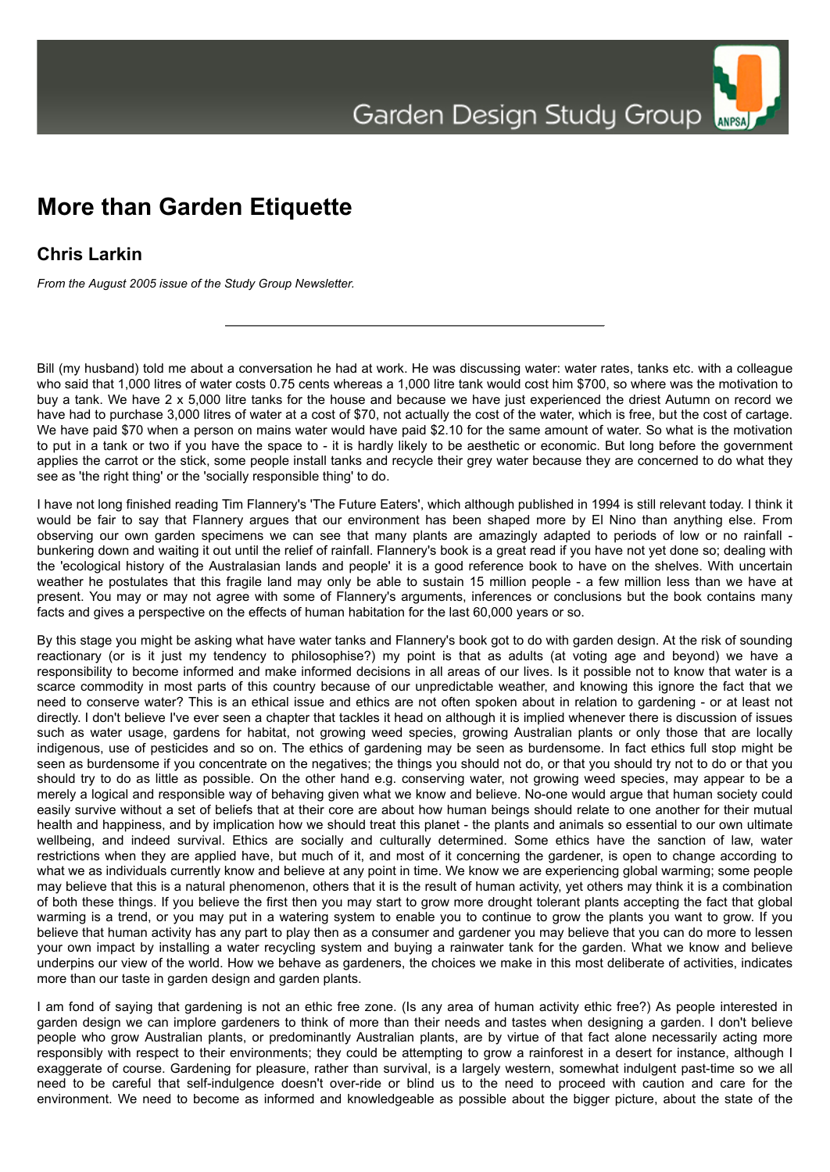## **More than Garden Etiquette**

## **Chris Larkin**

*From the August 2005 issue of the Study Group Newsletter.*

Bill (my husband) told me about a conversation he had at work. He was discussing water: water rates, tanks etc. with a colleague who said that 1,000 litres of water costs 0.75 cents whereas a 1,000 litre tank would cost him \$700, so where was the motivation to buy a tank. We have 2 x 5,000 litre tanks for the house and because we have just experienced the driest Autumn on record we have had to purchase 3,000 litres of water at a cost of \$70, not actually the cost of the water, which is free, but the cost of cartage. We have paid \$70 when a person on mains water would have paid \$2.10 for the same amount of water. So what is the motivation to put in a tank or two if you have the space to - it is hardly likely to be aesthetic or economic. But long before the government applies the carrot or the stick, some people install tanks and recycle their grey water because they are concerned to do what they see as 'the right thing' or the 'socially responsible thing' to do.

I have not long finished reading Tim Flannery's 'The Future Eaters', which although published in 1994 is still relevant today. I think it would be fair to say that Flannery argues that our environment has been shaped more by El Nino than anything else. From observing our own garden specimens we can see that many plants are amazingly adapted to periods of low or no rainfall bunkering down and waiting it out until the relief of rainfall. Flannery's book is a great read if you have not yet done so; dealing with the 'ecological history of the Australasian lands and people' it is a good reference book to have on the shelves. With uncertain weather he postulates that this fragile land may only be able to sustain 15 million people - a few million less than we have at present. You may or may not agree with some of Flannery's arguments, inferences or conclusions but the book contains many facts and gives a perspective on the effects of human habitation for the last 60,000 years or so.

By this stage you might be asking what have water tanks and Flannery's book got to do with garden design. At the risk of sounding reactionary (or is it just my tendency to philosophise?) my point is that as adults (at voting age and beyond) we have a responsibility to become informed and make informed decisions in all areas of our lives. Is it possible not to know that water is a scarce commodity in most parts of this country because of our unpredictable weather, and knowing this ignore the fact that we need to conserve water? This is an ethical issue and ethics are not often spoken about in relation to gardening - or at least not directly. I don't believe I've ever seen a chapter that tackles it head on although it is implied whenever there is discussion of issues such as water usage, gardens for habitat, not growing weed species, growing Australian plants or only those that are locally indigenous, use of pesticides and so on. The ethics of gardening may be seen as burdensome. In fact ethics full stop might be seen as burdensome if you concentrate on the negatives; the things you should not do, or that you should try not to do or that you should try to do as little as possible. On the other hand e.g. conserving water, not growing weed species, may appear to be a merely a logical and responsible way of behaving given what we know and believe. No-one would argue that human society could easily survive without a set of beliefs that at their core are about how human beings should relate to one another for their mutual health and happiness, and by implication how we should treat this planet - the plants and animals so essential to our own ultimate wellbeing, and indeed survival. Ethics are socially and culturally determined. Some ethics have the sanction of law, water restrictions when they are applied have, but much of it, and most of it concerning the gardener, is open to change according to what we as individuals currently know and believe at any point in time. We know we are experiencing global warming; some people may believe that this is a natural phenomenon, others that it is the result of human activity, yet others may think it is a combination of both these things. If you believe the first then you may start to grow more drought tolerant plants accepting the fact that global warming is a trend, or you may put in a watering system to enable you to continue to grow the plants you want to grow. If you believe that human activity has any part to play then as a consumer and gardener you may believe that you can do more to lessen your own impact by installing a water recycling system and buying a rainwater tank for the garden. What we know and believe underpins our view of the world. How we behave as gardeners, the choices we make in this most deliberate of activities, indicates more than our taste in garden design and garden plants.

I am fond of saying that gardening is not an ethic free zone. (Is any area of human activity ethic free?) As people interested in garden design we can implore gardeners to think of more than their needs and tastes when designing a garden. I don't believe people who grow Australian plants, or predominantly Australian plants, are by virtue of that fact alone necessarily acting more responsibly with respect to their environments; they could be attempting to grow a rainforest in a desert for instance, although I exaggerate of course. Gardening for pleasure, rather than survival, is a largely western, somewhat indulgent past-time so we all need to be careful that self-indulgence doesn't over-ride or blind us to the need to proceed with caution and care for the environment. We need to become as informed and knowledgeable as possible about the bigger picture, about the state of the